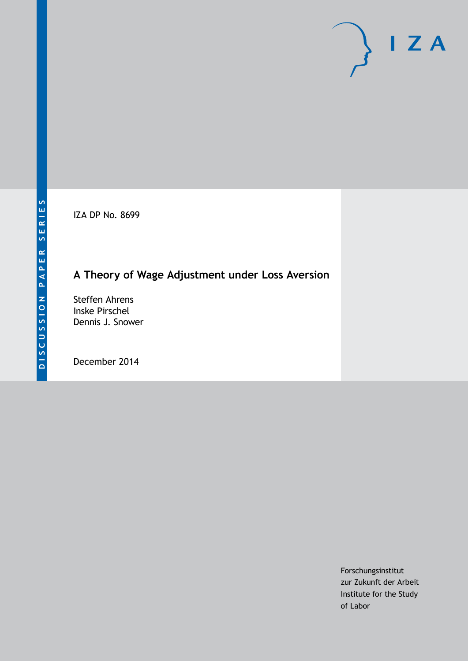IZA DP No. 8699

## **A Theory of Wage Adjustment under Loss Aversion**

Steffen Ahrens Inske Pirschel Dennis J. Snower

December 2014

Forschungsinstitut zur Zukunft der Arbeit Institute for the Study of Labor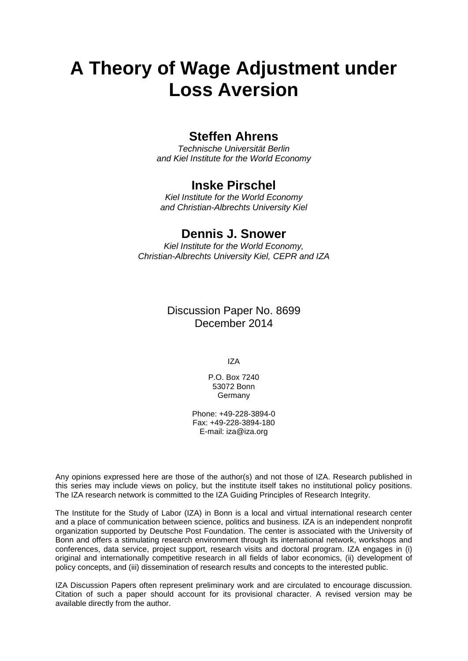# **A Theory of Wage Adjustment under Loss Aversion**

## **Steffen Ahrens**

*Technische Universität Berlin and Kiel Institute for the World Economy*

## **Inske Pirschel**

*Kiel Institute for the World Economy and Christian-Albrechts University Kiel*

## **Dennis J. Snower**

*Kiel Institute for the World Economy, Christian-Albrechts University Kiel, CEPR and IZA*

> Discussion Paper No. 8699 December 2014

> > IZA

P.O. Box 7240 53072 Bonn **Germany** 

Phone: +49-228-3894-0 Fax: +49-228-3894-180 E-mail: [iza@iza.org](mailto:iza@iza.org)

Any opinions expressed here are those of the author(s) and not those of IZA. Research published in this series may include views on policy, but the institute itself takes no institutional policy positions. The IZA research network is committed to the IZA Guiding Principles of Research Integrity.

The Institute for the Study of Labor (IZA) in Bonn is a local and virtual international research center and a place of communication between science, politics and business. IZA is an independent nonprofit organization supported by Deutsche Post Foundation. The center is associated with the University of Bonn and offers a stimulating research environment through its international network, workshops and conferences, data service, project support, research visits and doctoral program. IZA engages in (i) original and internationally competitive research in all fields of labor economics, (ii) development of policy concepts, and (iii) dissemination of research results and concepts to the interested public.

<span id="page-1-0"></span>IZA Discussion Papers often represent preliminary work and are circulated to encourage discussion. Citation of such a paper should account for its provisional character. A revised version may be available directly from the author.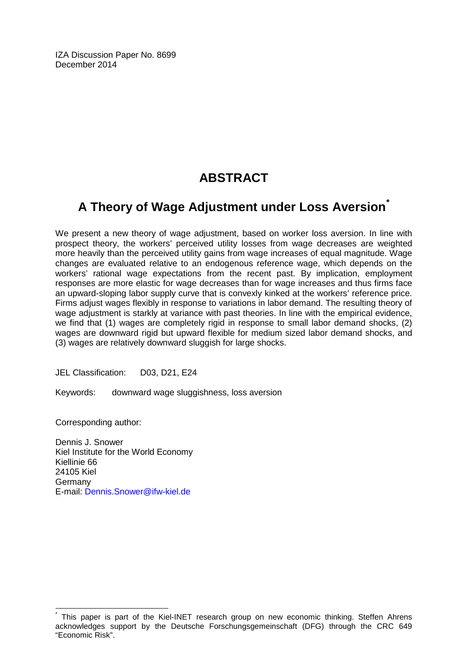IZA Discussion Paper No. 8699 December 2014

## **ABSTRACT**

## **A Theory of Wage Adjustment under Loss Aversion[\\*](#page-1-0)**

We present a new theory of wage adjustment, based on worker loss aversion. In line with prospect theory, the workers' perceived utility losses from wage decreases are weighted more heavily than the perceived utility gains from wage increases of equal magnitude. Wage changes are evaluated relative to an endogenous reference wage, which depends on the workers' rational wage expectations from the recent past. By implication, employment responses are more elastic for wage decreases than for wage increases and thus firms face an upward-sloping labor supply curve that is convexly kinked at the workers' reference price. Firms adjust wages flexibly in response to variations in labor demand. The resulting theory of wage adjustment is starkly at variance with past theories. In line with the empirical evidence, we find that (1) wages are completely rigid in response to small labor demand shocks, (2) wages are downward rigid but upward flexible for medium sized labor demand shocks, and (3) wages are relatively downward sluggish for large shocks.

JEL Classification: D03, D21, E24

Keywords: downward wage sluggishness, loss aversion

Corresponding author:

Dennis J. Snower Kiel Institute for the World Economy Kiellinie 66 24105 Kiel Germany E-mail: [Dennis.Snower@ifw-kiel.de](mailto:Dennis.Snower@ifw-kiel.de)

This paper is part of the Kiel-INET research group on new economic thinking. Steffen Ahrens acknowledges support by the Deutsche Forschungsgemeinschaft (DFG) through the CRC 649 "Economic Risk".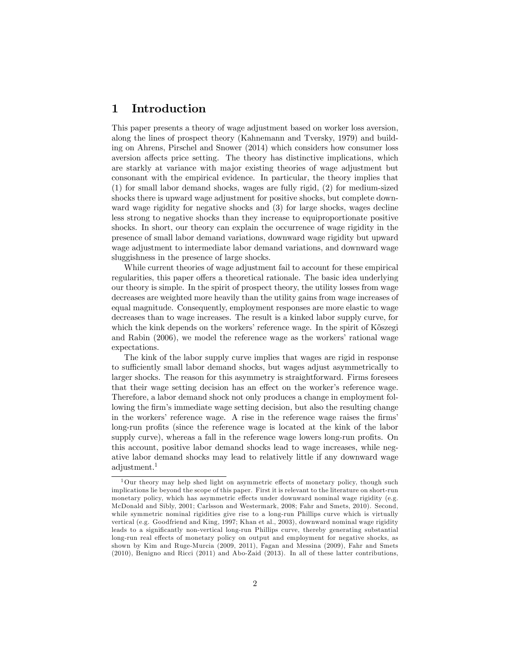### 1 Introduction

This paper presents a theory of wage adjustment based on worker loss aversion, along the lines of prospect theory (Kahnemann and Tversky, 1979) and building on Ahrens, Pirschel and Snower (2014) which considers how consumer loss aversion affects price setting. The theory has distinctive implications, which are starkly at variance with major existing theories of wage adjustment but consonant with the empirical evidence. In particular, the theory implies that (1) for small labor demand shocks, wages are fully rigid, (2) for medium-sized shocks there is upward wage adjustment for positive shocks, but complete downward wage rigidity for negative shocks and (3) for large shocks, wages decline less strong to negative shocks than they increase to equiproportionate positive shocks. In short, our theory can explain the occurrence of wage rigidity in the presence of small labor demand variations, downward wage rigidity but upward wage adjustment to intermediate labor demand variations, and downward wage sluggishness in the presence of large shocks.

While current theories of wage adjustment fail to account for these empirical regularities, this paper offers a theoretical rationale. The basic idea underlying our theory is simple. In the spirit of prospect theory, the utility losses from wage decreases are weighted more heavily than the utility gains from wage increases of equal magnitude. Consequently, employment responses are more elastic to wage decreases than to wage increases. The result is a kinked labor supply curve, for which the kink depends on the workers' reference wage. In the spirit of Köszegi and Rabin (2006), we model the reference wage as the workers' rational wage expectations.

The kink of the labor supply curve implies that wages are rigid in response to sufficiently small labor demand shocks, but wages adjust asymmetrically to larger shocks. The reason for this asymmetry is straightforward. Firms foresees that their wage setting decision has an effect on the worker's reference wage. Therefore, a labor demand shock not only produces a change in employment following the firm's immediate wage setting decision, but also the resulting change in the workers' reference wage. A rise in the reference wage raises the firms' long-run profits (since the reference wage is located at the kink of the labor supply curve), whereas a fall in the reference wage lowers long-run profits. On this account, positive labor demand shocks lead to wage increases, while negative labor demand shocks may lead to relatively little if any downward wage adjustment.<sup>1</sup>

 $1$ Our theory may help shed light on asymmetric effects of monetary policy, though such implications lie beyond the scope of this paper. First it is relevant to the literature on short-run monetary policy, which has asymmetric effects under downward nominal wage rigidity (e.g. McDonald and Sibly, 2001; Carlsson and Westermark, 2008; Fahr and Smets, 2010). Second, while symmetric nominal rigidities give rise to a long-run Phillips curve which is virtually vertical (e.g. Goodfriend and King, 1997; Khan et al., 2003), downward nominal wage rigidity leads to a significantly non-vertical long-run Phillips curve, thereby generating substantial long-run real effects of monetary policy on output and employment for negative shocks, as shown by Kim and Ruge-Murcia (2009, 2011), Fagan and Messina (2009), Fahr and Smets (2010), Benigno and Ricci (2011) and Abo-Zaid (2013). In all of these latter contributions,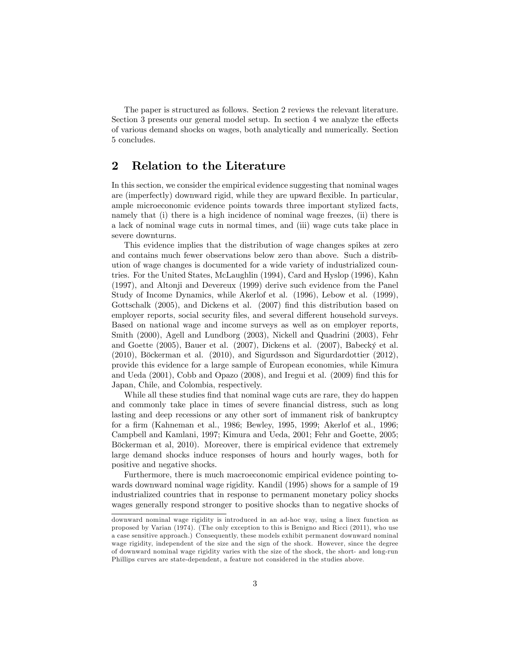The paper is structured as follows. Section 2 reviews the relevant literature. Section 3 presents our general model setup. In section 4 we analyze the effects of various demand shocks on wages, both analytically and numerically. Section 5 concludes.

### 2 Relation to the Literature

In this section, we consider the empirical evidence suggesting that nominal wages are (imperfectly) downward rigid, while they are upward flexible. In particular, ample microeconomic evidence points towards three important stylized facts, namely that (i) there is a high incidence of nominal wage freezes, (ii) there is a lack of nominal wage cuts in normal times, and (iii) wage cuts take place in severe downturns.

This evidence implies that the distribution of wage changes spikes at zero and contains much fewer observations below zero than above. Such a distribution of wage changes is documented for a wide variety of industrialized countries. For the United States, McLaughlin (1994), Card and Hyslop (1996), Kahn (1997), and Altonji and Devereux (1999) derive such evidence from the Panel Study of Income Dynamics, while Akerlof et al. (1996), Lebow et al. (1999), Gottschalk (2005), and Dickens et al. (2007) find this distribution based on employer reports, social security files, and several different household surveys. Based on national wage and income surveys as well as on employer reports, Smith (2000), Agell and Lundborg (2003), Nickell and Quadrini (2003), Fehr and Goette  $(2005)$ , Bauer et al.  $(2007)$ , Dickens et al.  $(2007)$ , Babecký et al.  $(2010)$ , Böckerman et al.  $(2010)$ , and Sigurdsson and Sigurdardottier  $(2012)$ , provide this evidence for a large sample of European economies, while Kimura and Ueda (2001), Cobb and Opazo (2008), and Iregui et al. (2009) find this for Japan, Chile, and Colombia, respectively.

While all these studies find that nominal wage cuts are rare, they do happen and commonly take place in times of severe financial distress, such as long lasting and deep recessions or any other sort of immanent risk of bankruptcy for a Örm (Kahneman et al., 1986; Bewley, 1995, 1999; Akerlof et al., 1996; Campbell and Kamlani, 1997; Kimura and Ueda, 2001; Fehr and Goette, 2005; Böckerman et al, 2010). Moreover, there is empirical evidence that extremely large demand shocks induce responses of hours and hourly wages, both for positive and negative shocks.

Furthermore, there is much macroeconomic empirical evidence pointing towards downward nominal wage rigidity. Kandil (1995) shows for a sample of 19 industrialized countries that in response to permanent monetary policy shocks wages generally respond stronger to positive shocks than to negative shocks of

downward nominal wage rigidity is introduced in an ad-hoc way, using a linex function as proposed by Varian (1974). (The only exception to this is Benigno and Ricci (2011), who use a case sensitive approach.) Consequently, these models exhibit permanent downward nominal wage rigidity, independent of the size and the sign of the shock. However, since the degree of downward nominal wage rigidity varies with the size of the shock, the short- and long-run Phillips curves are state-dependent, a feature not considered in the studies above.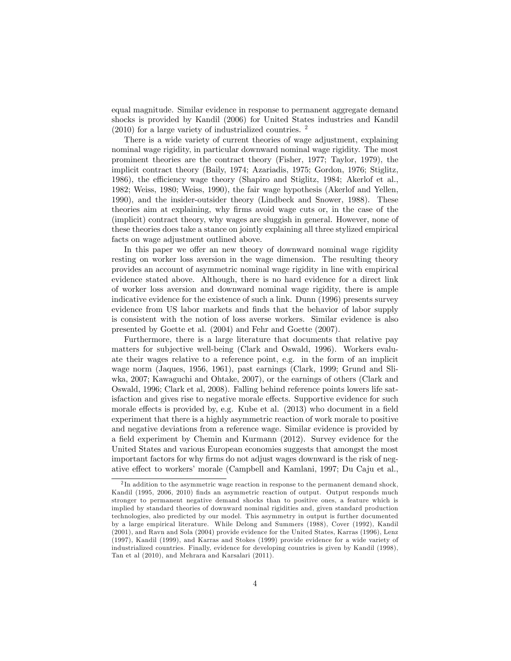equal magnitude. Similar evidence in response to permanent aggregate demand shocks is provided by Kandil (2006) for United States industries and Kandil  $(2010)$  for a large variety of industrialized countries. <sup>2</sup>

There is a wide variety of current theories of wage adjustment, explaining nominal wage rigidity, in particular downward nominal wage rigidity. The most prominent theories are the contract theory (Fisher, 1977; Taylor, 1979), the implicit contract theory (Baily, 1974; Azariadis, 1975; Gordon, 1976; Stiglitz, 1986), the efficiency wage theory (Shapiro and Stiglitz, 1984; Akerlof et al., 1982; Weiss, 1980; Weiss, 1990), the fair wage hypothesis (Akerlof and Yellen, 1990), and the insider-outsider theory (Lindbeck and Snower, 1988). These theories aim at explaining, why Örms avoid wage cuts or, in the case of the (implicit) contract theory, why wages are sluggish in general. However, none of these theories does take a stance on jointly explaining all three stylized empirical facts on wage adjustment outlined above.

In this paper we offer an new theory of downward nominal wage rigidity resting on worker loss aversion in the wage dimension. The resulting theory provides an account of asymmetric nominal wage rigidity in line with empirical evidence stated above. Although, there is no hard evidence for a direct link of worker loss aversion and downward nominal wage rigidity, there is ample indicative evidence for the existence of such a link. Dunn (1996) presents survey evidence from US labor markets and finds that the behavior of labor supply is consistent with the notion of loss averse workers. Similar evidence is also presented by Goette et al. (2004) and Fehr and Goette (2007).

Furthermore, there is a large literature that documents that relative pay matters for subjective well-being (Clark and Oswald, 1996). Workers evaluate their wages relative to a reference point, e.g. in the form of an implicit wage norm (Jaques, 1956, 1961), past earnings (Clark, 1999; Grund and Sliwka, 2007; Kawaguchi and Ohtake, 2007), or the earnings of others (Clark and Oswald, 1996; Clark et al, 2008). Falling behind reference points lowers life satisfaction and gives rise to negative morale effects. Supportive evidence for such morale effects is provided by, e.g. Kube et al. (2013) who document in a field experiment that there is a highly asymmetric reaction of work morale to positive and negative deviations from a reference wage. Similar evidence is provided by a field experiment by Chemin and Kurmann (2012). Survey evidence for the United States and various European economies suggests that amongst the most important factors for why firms do not adjust wages downward is the risk of negative effect to workers' morale (Campbell and Kamlani, 1997; Du Caju et al.,

 $2 \text{ In addition to the asymmetric wage reaction in response to the permanent demand shock,}$ Kandil (1995, 2006, 2010) finds an asymmetric reaction of output. Output responds much stronger to permanent negative demand shocks than to positive ones, a feature which is implied by standard theories of downward nominal rigidities and, given standard production technologies, also predicted by our model. This asymmetry in output is further documented by a large empirical literature. While Delong and Summers (1988), Cover (1992), Kandil (2001), and Ravn and Sola (2004) provide evidence for the United States, Karras (1996), Lenz (1997), Kandil (1999), and Karras and Stokes (1999) provide evidence for a wide variety of industrialized countries. Finally, evidence for developing countries is given by Kandil (1998), Tan et al (2010), and Mehrara and Karsalari (2011).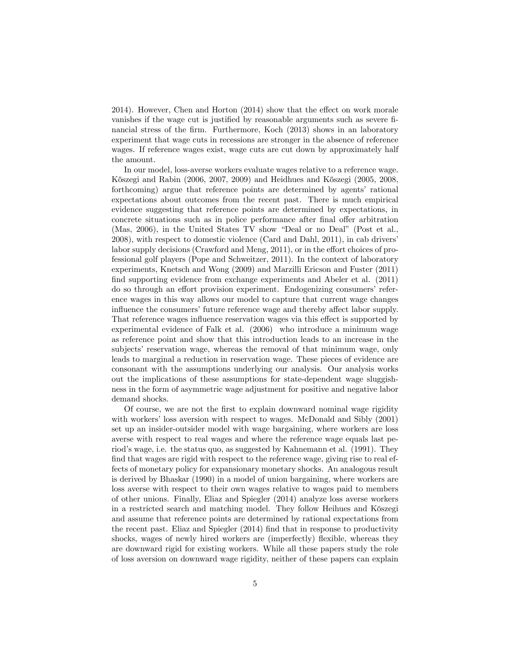$2014$ ). However, Chen and Horton  $(2014)$  show that the effect on work morale vanishes if the wage cut is justified by reasonable arguments such as severe financial stress of the firm. Furthermore, Koch (2013) shows in an laboratory experiment that wage cuts in recessions are stronger in the absence of reference wages. If reference wages exist, wage cuts are cut down by approximately half the amount.

In our model, loss-averse workers evaluate wages relative to a reference wage. Kőszegi and Rabin (2006, 2007, 2009) and Heidhues and Kőszegi (2005, 2008, forthcoming) argue that reference points are determined by agents' rational expectations about outcomes from the recent past. There is much empirical evidence suggesting that reference points are determined by expectations, in concrete situations such as in police performance after final offer arbitration (Mas, 2006), in the United States TV show "Deal or no Deal" (Post et al., 2008), with respect to domestic violence (Card and Dahl, 2011), in cab driversí labor supply decisions (Crawford and Meng,  $2011$ ), or in the effort choices of professional golf players (Pope and Schweitzer, 2011). In the context of laboratory experiments, Knetsch and Wong (2009) and Marzilli Ericson and Fuster (2011) find supporting evidence from exchange experiments and Abeler et al. (2011) do so through an effort provision experiment. Endogenizing consumers' reference wages in this way allows our model to capture that current wage changes influence the consumers' future reference wage and thereby affect labor supply. That reference wages influence reservation wages via this effect is supported by experimental evidence of Falk et al. (2006) who introduce a minimum wage as reference point and show that this introduction leads to an increase in the subjects' reservation wage, whereas the removal of that minimum wage, only leads to marginal a reduction in reservation wage. These pieces of evidence are consonant with the assumptions underlying our analysis. Our analysis works out the implications of these assumptions for state-dependent wage sluggishness in the form of asymmetric wage adjustment for positive and negative labor demand shocks.

Of course, we are not the Örst to explain downward nominal wage rigidity with workers' loss aversion with respect to wages. McDonald and Sibly (2001) set up an insider-outsider model with wage bargaining, where workers are loss averse with respect to real wages and where the reference wage equals last period's wage, i.e. the status quo, as suggested by Kahnemann et al. (1991). They find that wages are rigid with respect to the reference wage, giving rise to real effects of monetary policy for expansionary monetary shocks. An analogous result is derived by Bhaskar (1990) in a model of union bargaining, where workers are loss averse with respect to their own wages relative to wages paid to members of other unions. Finally, Eliaz and Spiegler (2014) analyze loss averse workers in a restricted search and matching model. They follow Heihues and Köszegi and assume that reference points are determined by rational expectations from the recent past. Eliaz and Spiegler  $(2014)$  find that in response to productivity shocks, wages of newly hired workers are (imperfectly) flexible, whereas they are downward rigid for existing workers. While all these papers study the role of loss aversion on downward wage rigidity, neither of these papers can explain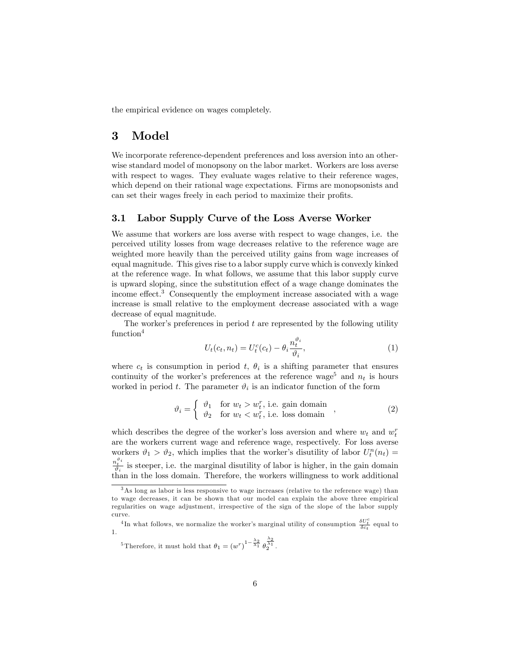the empirical evidence on wages completely.

## 3 Model

We incorporate reference-dependent preferences and loss aversion into an otherwise standard model of monopsony on the labor market. Workers are loss averse with respect to wages. They evaluate wages relative to their reference wages, which depend on their rational wage expectations. Firms are monopsonists and can set their wages freely in each period to maximize their profits.

#### 3.1 Labor Supply Curve of the Loss Averse Worker

We assume that workers are loss averse with respect to wage changes, i.e. the perceived utility losses from wage decreases relative to the reference wage are weighted more heavily than the perceived utility gains from wage increases of equal magnitude. This gives rise to a labor supply curve which is convexly kinked at the reference wage. In what follows, we assume that this labor supply curve is upward sloping, since the substitution effect of a wage change dominates the income effect.<sup>3</sup> Consequently the employment increase associated with a wage increase is small relative to the employment decrease associated with a wage decrease of equal magnitude.

The worker's preferences in period  $t$  are represented by the following utility function<sup>4</sup>

$$
U_t(c_t, n_t) = U_t^c(c_t) - \theta_i \frac{n_t^{\vartheta_i}}{\vartheta_i},\tag{1}
$$

where  $c_t$  is consumption in period t,  $\theta_i$  is a shifting parameter that ensures continuity of the worker's preferences at the reference wage<sup>5</sup> and  $n_t$  is hours worked in period t. The parameter  $\vartheta_i$  is an indicator function of the form

$$
\vartheta_i = \begin{cases} \n\vartheta_1 & \text{for } w_t > w_t^r \text{ i.e. gain domain} \\ \n\vartheta_2 & \text{for } w_t < w_t^r \text{ i.e. loss domain} \n\end{cases} \tag{2}
$$

which describes the degree of the worker's loss aversion and where  $w_t$  and  $w_t^r$ are the workers current wage and reference wage, respectively. For loss averse workers  $\vartheta_1 > \vartheta_2$ , which implies that the worker's disutility of labor  $U_t^n(n_t) =$  $\frac{n_i^{\vartheta_i}}{\vartheta_i}$  is steeper, i.e. the marginal disutility of labor is higher, in the gain domain than in the loss domain. Therefore, the workers willingness to work additional

<sup>3</sup>As long as labor is less responsive to wage increases (relative to the reference wage) than to wage decreases, it can be shown that our model can explain the above three empirical regularities on wage adjustment, irrespective of the sign of the slope of the labor supply curve.

<sup>&</sup>lt;sup>4</sup>In what follows, we normalize the worker's marginal utility of consumption  $\frac{\delta U_r^c}{\delta c_t}$  equal to 1.

<sup>&</sup>lt;sup>5</sup>Therefore, it must hold that  $\theta_1 = (w^r)^{1-\frac{\lambda_2}{\lambda_1}} \theta_2^{\frac{\lambda_2}{\lambda_1}}$ .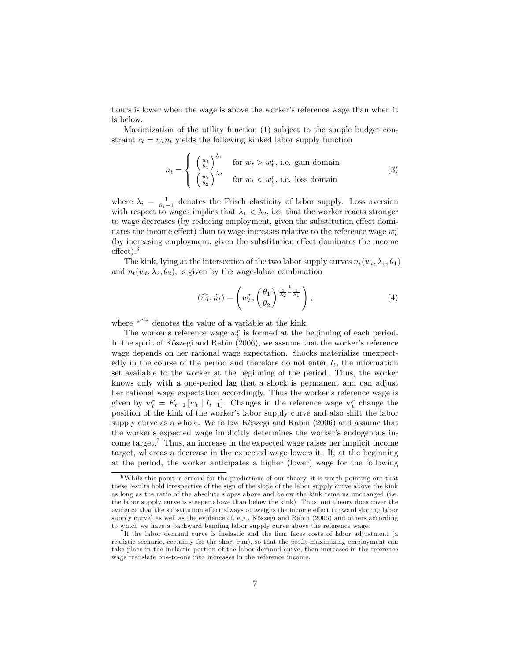hours is lower when the wage is above the worker's reference wage than when it is below.

Maximization of the utility function (1) subject to the simple budget constraint  $c_t = w_t n_t$  yields the following kinked labor supply function

$$
n_{t} = \begin{cases} \left(\frac{w_{t}}{\theta_{1}}\right)^{\lambda_{1}} & \text{for } w_{t} > w_{t}^{r}, \text{ i.e. gain domain} \\ \left(\frac{w_{t}}{\theta_{2}}\right)^{\lambda_{2}} & \text{for } w_{t} < w_{t}^{r}, \text{ i.e. loss domain} \end{cases}
$$
(3)

where  $\lambda_i = \frac{1}{\vartheta_i - 1}$  denotes the Frisch elasticity of labor supply. Loss aversion with respect to wages implies that  $\lambda_1 < \lambda_2$ , i.e. that the worker reacts stronger to wage decreases (by reducing employment, given the substitution effect dominates the income effect) than to wage increases relative to the reference wage  $w_t^r$ (by increasing employment, given the substitution effect dominates the income  $effect$ ).<sup>6</sup>

The kink, lying at the intersection of the two labor supply curves  $n_t(w_t, \lambda_1, \theta_1)$ and  $n_t(w_t, \lambda_2, \theta_2)$ , is given by the wage-labor combination

$$
(\widehat{w_t}, \widehat{n_t}) = \left(w_t^r, \left(\frac{\theta_1}{\theta_2}\right)^{\frac{1}{\lambda_2} - \frac{1}{\lambda_1}}\right),\tag{4}
$$

where  $\sqrt{a}$  denotes the value of a variable at the kink.

The worker's reference wage  $w_t^r$  is formed at the beginning of each period. In the spirit of K $\delta$ szegi and Rabin (2006), we assume that the worker's reference wage depends on her rational wage expectation. Shocks materialize unexpectedly in the course of the period and therefore do not enter  $I_t$ , the information set available to the worker at the beginning of the period. Thus, the worker knows only with a one-period lag that a shock is permanent and can adjust her rational wage expectation accordingly. Thus the worker's reference wage is given by  $w_t^r = E_{t-1}[w_t | I_{t-1}]$ . Changes in the reference wage  $w_t^r$  change the position of the kink of the worker's labor supply curve and also shift the labor supply curve as a whole. We follow Kőszegi and Rabin (2006) and assume that the worker's expected wage implicitly determines the worker's endogenous income target.<sup>7</sup> Thus, an increase in the expected wage raises her implicit income target, whereas a decrease in the expected wage lowers it. If, at the beginning at the period, the worker anticipates a higher (lower) wage for the following

 $6$ While this point is crucial for the predictions of our theory, it is worth pointing out that these results hold irrespective of the sign of the slope of the labor supply curve above the kink as long as the ratio of the absolute slopes above and below the kink remains unchanged (i.e. the labor supply curve is steeper above than below the kink). Thus, out theory does cover the evidence that the substitution effect always outweighs the income effect (upward sloping labor supply curve) as well as the evidence of, e.g., Köszegi and Rabin (2006) and others according to which we have a backward bending labor supply curve above the reference wage.

<sup>&</sup>lt;sup>7</sup>If the labor demand curve is inelastic and the firm faces costs of labor adjustment (a realistic scenario, certainly for the short run), so that the profit-maximizing employment can take place in the inelastic portion of the labor demand curve, then increases in the reference wage translate one-to-one into increases in the reference income.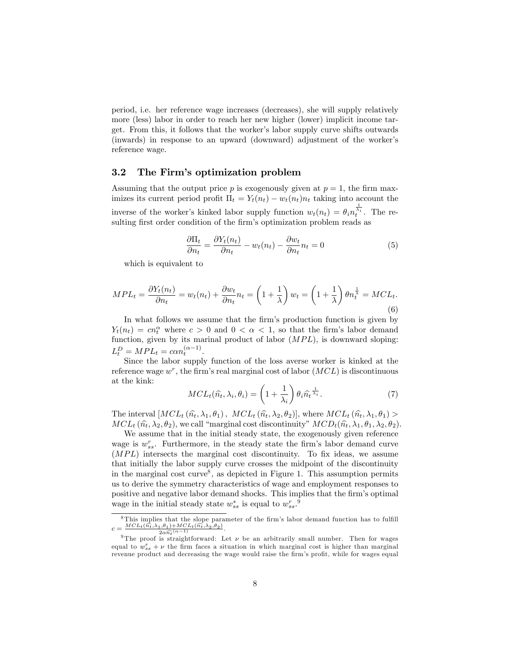period, i.e. her reference wage increases (decreases), she will supply relatively more (less) labor in order to reach her new higher (lower) implicit income target. From this, it follows that the workerís labor supply curve shifts outwards (inwards) in response to an upward (downward) adjustment of the workerís reference wage.

#### 3.2 The Firmís optimization problem

Assuming that the output price p is exogenously given at  $p = 1$ , the firm maximizes its current period profit  $\Pi_t = Y_t(n_t) - w_t(n_t)n_t$  taking into account the inverse of the worker's kinked labor supply function  $w_t(n_t) = \theta_i n_t^{\frac{1}{\lambda_i}}$ . The resulting first order condition of the firm's optimization problem reads as

$$
\frac{\partial \Pi_t}{\partial n_t} = \frac{\partial Y_t(n_t)}{\partial n_t} - w_t(n_t) - \frac{\partial w_t}{\partial n_t} n_t = 0 \tag{5}
$$

which is equivalent to

$$
MPL_t = \frac{\partial Y_t(n_t)}{\partial n_t} = w_t(n_t) + \frac{\partial w_t}{\partial n_t} n_t = \left(1 + \frac{1}{\lambda}\right) w_t = \left(1 + \frac{1}{\lambda}\right) \theta n_t^{\frac{1}{\lambda}} = MCL_t.
$$
\n
$$
(6)
$$

In what follows we assume that the firm's production function is given by  $Y_t(n_t) = cn_t^{\alpha}$  where  $c > 0$  and  $0 < \alpha < 1$ , so that the firm's labor demand function, given by its marinal product of labor  $(MPL)$ , is downward sloping:  $L_t^D = MPL_t = c\alpha n_t^{(\alpha - 1)}.$ 

Since the labor supply function of the loss averse worker is kinked at the reference wage  $w^r$ , the firm's real marginal cost of labor  $(MCL)$  is discontinuous at the kink:

$$
MCL_t(\widehat{n_t}, \lambda_i, \theta_i) = \left(1 + \frac{1}{\lambda_i}\right) \theta_i \widehat{n_t}^{\frac{1}{\lambda_i}}.
$$
 (7)

The interval  $[MCL_t(\hat{n_t}, \lambda_1, \theta_1), MCL_t(\hat{n_t}, \lambda_2, \theta_2)],$  where  $MCL_t(\hat{n_t}, \lambda_1, \theta_1)$  $MCL_t(\hat{n_t}, \lambda_2, \theta_2)$ , we call "marginal cost discontinuity"  $MCD_t(\hat{n_t}, \lambda_1, \theta_1, \lambda_2, \theta_2)$ .

We assume that in the initial steady state, the exogenously given reference wage is  $w_{ss}^r$ . Furthermore, in the steady state the firm's labor demand curve  $(MPL)$  intersects the marginal cost discontinuity. To fix ideas, we assume that initially the labor supply curve crosses the midpoint of the discontinuity in the marginal cost curve<sup>8</sup>, as depicted in Figure 1. This assumption permits us to derive the symmetry characteristics of wage and employment responses to positive and negative labor demand shocks. This implies that the firm's optimal wage in the initial steady state  $w_{ss}^*$  is equal to  $w_{ss}^r$ .<sup>9</sup>

 $8$ This implies that the slope parameter of the firm's labor demand function has to fulfill  $c = \frac{MCL_t(\widehat{n_t}, \lambda_1, \theta_1) + MCL_t(\widehat{n_t}, \lambda_2, \theta_2)}{2 \widehat{\phi}(\alpha - 1)}$  $\frac{1, \sigma_1)+\mathcal{W} \cup L_t(n_t, \lambda_2, \sigma_2)}{2\alpha \widehat{n_t}(\alpha-1)}.$ 

<sup>&</sup>lt;sup>9</sup>The proof is straightforward: Let  $\nu$  be an arbitrarily small number. Then for wages equal to  $w_{ss}^r + \nu$  the firm faces a situation in which marginal cost is higher than marginal revenue product and decreasing the wage would raise the firm's profit, while for wages equal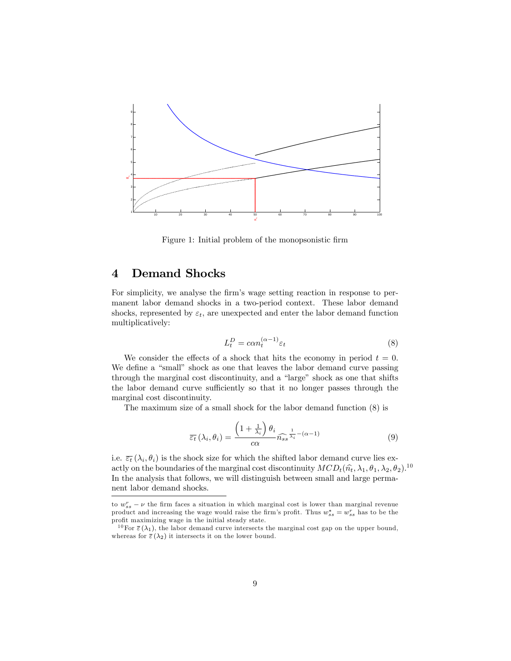

Figure 1: Initial problem of the monopsonistic firm

## 4 Demand Shocks

For simplicity, we analyse the firm's wage setting reaction in response to permanent labor demand shocks in a two-period context. These labor demand shocks, represented by  $\varepsilon_t$ , are unexpected and enter the labor demand function multiplicatively:

$$
L_t^D = \alpha n_t^{(\alpha - 1)} \varepsilon_t \tag{8}
$$

We consider the effects of a shock that hits the economy in period  $t = 0$ . We define a "small" shock as one that leaves the labor demand curve passing through the marginal cost discontinuity, and a "large" shock as one that shifts the labor demand curve sufficiently so that it no longer passes through the marginal cost discontinuity.

The maximum size of a small shock for the labor demand function (8) is

$$
\overline{\varepsilon_t}(\lambda_i, \theta_i) = \frac{\left(1 + \frac{1}{\lambda_i}\right)\theta_i}{c\alpha} \widehat{n_{ss}}^{\frac{1}{\lambda_i} - (\alpha - 1)}\tag{9}
$$

i.e.  $\overline{\varepsilon_t}(\lambda_i, \theta_i)$  is the shock size for which the shifted labor demand curve lies exactly on the boundaries of the marginal cost discontinuity  $MCD_t(\hat{n}_t, \lambda_1, \theta_1, \lambda_2, \theta_2)$ .<sup>10</sup> In the analysis that follows, we will distinguish between small and large permanent labor demand shocks.

to  $w_{ss}^r - \nu$  the firm faces a situation in which marginal cost is lower than marginal revenue product and increasing the wage would raise the firm's profit. Thus  $w_{ss}^* = w_{ss}^r$  has to be the profit maximizing wage in the initial steady state.

<sup>&</sup>lt;sup>10</sup>For  $\bar{\varepsilon}(\lambda_1)$ , the labor demand curve intersects the marginal cost gap on the upper bound, whereas for  $\bar{\varepsilon}(\lambda_2)$  it intersects it on the lower bound.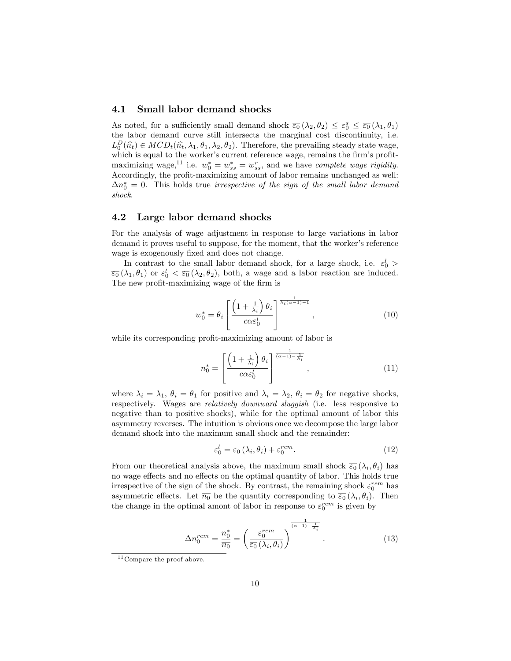#### 4.1 Small labor demand shocks

As noted, for a sufficiently small demand shock  $\overline{\varepsilon_0}(\lambda_2, \theta_2) \leq \varepsilon_0^s \leq \overline{\varepsilon_0}(\lambda_1, \theta_1)$ the labor demand curve still intersects the marginal cost discontinuity, i.e.  $L_D^D(\hat{n}_t) \in MCD_t(\hat{n}_t, \lambda_1, \theta_1, \lambda_2, \theta_2)$ . Therefore, the prevailing steady state wage, which is equal to the worker's current reference wage, remains the firm's profitmaximizing wage,<sup>11</sup> i.e.  $w_0^* = w_{ss}^* = w_{ss}^r$ , and we have *complete wage rigidity*. Accordingly, the profit-maximizing amount of labor remains unchanged as well:  $\Delta n_0^* = 0$ . This holds true *irrespective of the sign of the small labor demand* shock.

#### 4.2 Large labor demand shocks

For the analysis of wage adjustment in response to large variations in labor demand it proves useful to suppose, for the moment, that the worker's reference wage is exogenously fixed and does not change.

In contrast to the small labor demand shock, for a large shock, i.e.  $\varepsilon_0^l$  >  $\overline{\varepsilon_0}(\lambda_1,\theta_1)$  or  $\varepsilon_0^l < \overline{\varepsilon_0}(\lambda_2,\theta_2)$ , both, a wage and a labor reaction are induced. The new profit-maximizing wage of the firm is

$$
w_0^* = \theta_i \left[ \frac{\left(1 + \frac{1}{\lambda_i}\right) \theta_i}{c \alpha \varepsilon_0^l} \right]^{\frac{1}{\lambda_i (\alpha - 1) - 1}}, \qquad (10)
$$

while its corresponding profit-maximizing amount of labor is

$$
n_0^* = \left[ \frac{\left(1 + \frac{1}{\lambda_i}\right) \theta_i}{c \alpha \varepsilon_0^l} \right]^{\frac{1}{(\alpha - 1) - \frac{1}{\lambda_i}}},\tag{11}
$$

where  $\lambda_i = \lambda_1, \theta_i = \theta_1$  for positive and  $\lambda_i = \lambda_2, \theta_i = \theta_2$  for negative shocks, respectively. Wages are relatively downward sluggish (i.e. less responsive to negative than to positive shocks), while for the optimal amount of labor this asymmetry reverses. The intuition is obvious once we decompose the large labor demand shock into the maximum small shock and the remainder:

$$
\varepsilon_0^l = \overline{\varepsilon_0} \left( \lambda_i, \theta_i \right) + \varepsilon_0^{rem}.\tag{12}
$$

From our theoretical analysis above, the maximum small shock  $\overline{\varepsilon_0}(\lambda_i, \theta_i)$  has no wage effects and no effects on the optimal quantity of labor. This holds true irrespective of the sign of the shock. By contrast, the remaining shock  $\varepsilon_0^{rem}$  has asymmetric effects. Let  $\overline{n_0}$  be the quantity corresponding to  $\overline{\varepsilon_0}(\lambda_i, \theta_i)$ . Then the change in the optimal amont of labor in response to  $\varepsilon_0^{rem}$  is given by

$$
\Delta n_0^{rem} = \frac{n_0^*}{\overline{n_0}} = \left(\frac{\varepsilon_0^{rem}}{\overline{\varepsilon_0}(\lambda_i, \theta_i)}\right)^{\frac{1}{(\alpha - 1) - \frac{1}{\lambda_i}}}.
$$
\n(13)

 $11$  Compare the proof above.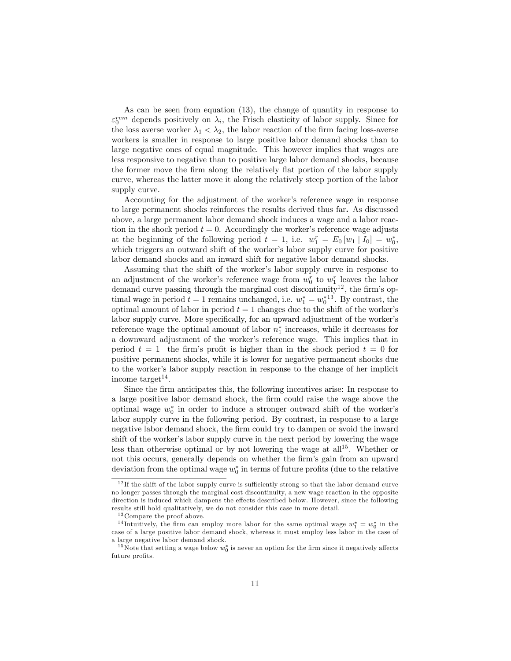As can be seen from equation (13), the change of quantity in response to  $\varepsilon_0^{rem}$  depends positively on  $\lambda_i$ , the Frisch elasticity of labor supply. Since for the loss averse worker  $\lambda_1 < \lambda_2$ , the labor reaction of the firm facing loss-averse workers is smaller in response to large positive labor demand shocks than to large negative ones of equal magnitude. This however implies that wages are less responsive to negative than to positive large labor demand shocks, because the former move the firm along the relatively flat portion of the labor supply curve, whereas the latter move it along the relatively steep portion of the labor supply curve.

Accounting for the adjustment of the worker's reference wage in response to large permanent shocks reinforces the results derived thus far. As discussed above, a large permanent labor demand shock induces a wage and a labor reaction in the shock period  $t = 0$ . Accordingly the worker's reference wage adjusts at the beginning of the following period  $t = 1$ , i.e.  $w_1^r = E_0[w_1 | I_0] = w_0^*$ , which triggers an outward shift of the worker's labor supply curve for positive labor demand shocks and an inward shift for negative labor demand shocks.

Assuming that the shift of the worker's labor supply curve in response to an adjustment of the worker's reference wage from  $w_0^r$  to  $w_1^r$  leaves the labor demand curve passing through the marginal cost discontinuity<sup>12</sup>, the firm's optimal wage in period  $t = 1$  remains unchanged, i.e.  $w_1^* = w_0^{*13}$ . By contrast, the optimal amount of labor in period  $t = 1$  changes due to the shift of the worker's labor supply curve. More specifically, for an upward adjustment of the worker's reference wage the optimal amount of labor  $n_1^*$  increases, while it decreases for a downward adjustment of the worker's reference wage. This implies that in period  $t = 1$  the firm's profit is higher than in the shock period  $t = 0$  for positive permanent shocks, while it is lower for negative permanent shocks due to the worker's labor supply reaction in response to the change of her implicit income target<sup>14</sup>.

Since the Örm anticipates this, the following incentives arise: In response to a large positive labor demand shock, the Örm could raise the wage above the optimal wage  $w_0^*$  in order to induce a stronger outward shift of the worker's labor supply curve in the following period. By contrast, in response to a large negative labor demand shock, the firm could try to dampen or avoid the inward shift of the worker's labor supply curve in the next period by lowering the wage less than otherwise optimal or by not lowering the wage at  $all^{15}$ . Whether or not this occurs, generally depends on whether the firm's gain from an upward deviation from the optimal wage  $w_0^*$  in terms of future profits (due to the relative

 $12$  If the shift of the labor supply curve is sufficiently strong so that the labor demand curve no longer passes through the marginal cost discontinuity, a new wage reaction in the opposite direction is induced which dampens the effects described below. However, since the following results still hold qualitatively, we do not consider this case in more detail.

<sup>&</sup>lt;sup>13</sup> Compare the proof above.

<sup>&</sup>lt;sup>14</sup>Intuitively, the firm can employ more labor for the same optimal wage  $w_1^* = w_0^*$  in the case of a large positive labor demand shock, whereas it must employ less labor in the case of a large negative labor demand shock.

<sup>&</sup>lt;sup>15</sup> Note that setting a wage below  $w_0^*$  is never an option for the firm since it negatively affects future profits.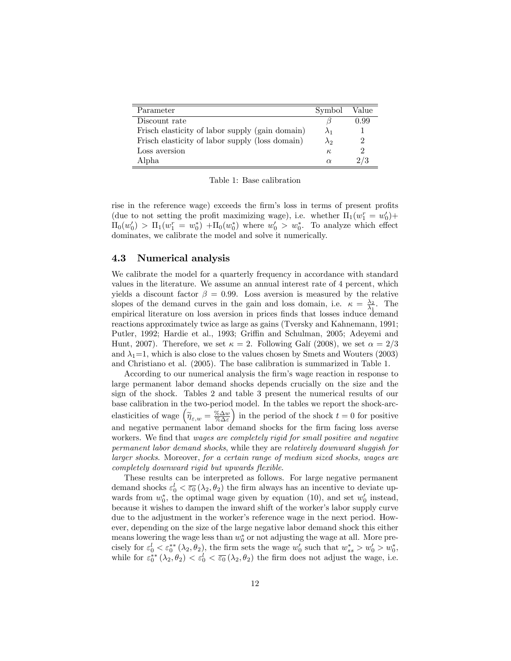| Parameter                                       | Symbol      | Value |
|-------------------------------------------------|-------------|-------|
| Discount rate                                   |             | 0.99  |
| Frisch elasticity of labor supply (gain domain) | $\lambda_1$ |       |
| Frisch elasticity of labor supply (loss domain) | $\lambda_2$ |       |
| Loss aversion                                   | К,          |       |
| Alpha                                           | $\alpha$    |       |

Table 1: Base calibration

rise in the reference wage) exceeds the firm's loss in terms of present profits (due to not setting the profit maximizing wage), i.e. whether  $\Pi_1(w_1^r = w_0') +$  $\Pi_0(w'_0) > \Pi_1(w_1^r = w_0^*) + \Pi_0(w_0^*)$  where  $w'_0 > w_0^*$ . To analyze which effect dominates, we calibrate the model and solve it numerically.

#### 4.3 Numerical analysis

We calibrate the model for a quarterly frequency in accordance with standard values in the literature. We assume an annual interest rate of 4 percent, which yields a discount factor  $\beta = 0.99$ . Loss aversion is measured by the relative slopes of the demand curves in the gain and loss domain, i.e.  $\kappa = \frac{\lambda_2}{\lambda_1}$ . The empirical literature on loss aversion in prices finds that losses induce demand reactions approximately twice as large as gains (Tversky and Kahnemann, 1991; Putler, 1992; Hardie et al., 1993; Griffin and Schulman, 2005; Adeyemi and Hunt, 2007). Therefore, we set  $\kappa = 2$ . Following Gali (2008), we set  $\alpha = 2/3$ and  $\lambda_1=1$ , which is also close to the values chosen by Smets and Wouters (2003) and Christiano et al. (2005). The base calibration is summarized in Table 1.

According to our numerical analysis the firm's wage reaction in response to large permanent labor demand shocks depends crucially on the size and the sign of the shock. Tables 2 and table 3 present the numerical results of our base calibration in the two-period model. In the tables we report the shock-arcelasticities of wage  $\left(\widetilde{\eta}_{\varepsilon,w} = \frac{\% \Delta w}{\% \Delta \varepsilon}\right)$ in the period of the shock  $t = 0$  for positive and negative permanent labor demand shocks for the firm facing loss averse workers. We find that wages are completely rigid for small positive and negative permanent labor demand shocks, while they are relatively downward sluggish for larger shocks. Moreover, for a certain range of medium sized shocks, wages are completely downward rigid but upwards flexible.

These results can be interpreted as follows. For large negative permanent demand shocks  $\varepsilon_0^l < \overline{\varepsilon_0} (\lambda_2, \theta_2)$  the firm always has an incentive to deviate upwards from  $w_0^*$ , the optimal wage given by equation (10), and set  $w_0'$  instead, because it wishes to dampen the inward shift of the worker's labor supply curve due to the adjustment in the worker's reference wage in the next period. However, depending on the size of the large negative labor demand shock this either means lowering the wage less than  $w_0^*$  or not adjusting the wage at all. More precisely for  $\varepsilon_0^l < \varepsilon_0^{**}(\lambda_2, \theta_2)$ , the firm sets the wage  $w'_0$  such that  $w_{ss}^* > w'_0 > w_0^*$ , while for  $\varepsilon_0^{**}(\lambda_2, \theta_2) < \varepsilon_0^l < \overline{\varepsilon_0}(\lambda_2, \theta_2)$  the firm does not adjust the wage, i.e.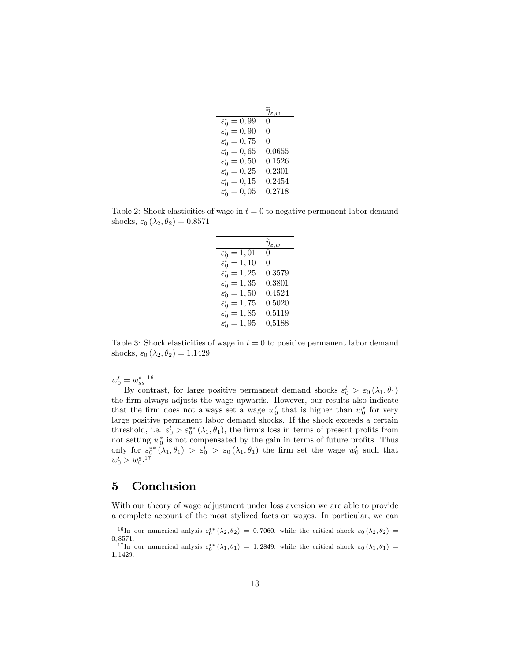|                        | $\varepsilon$ . $w$ |
|------------------------|---------------------|
| $\varepsilon_0^l=0,99$ | $\mathbf{0}$        |
| $\varepsilon_0^l=0,90$ | 0                   |
| $\varepsilon_0^l=0,75$ | 0                   |
| $\varepsilon_0^l=0,65$ | 0.0655              |
| $\varepsilon_0^l=0,50$ | 0.1526              |
| $\varepsilon_0^l=0,25$ | 0.2301              |
| $\varepsilon_0^l=0,15$ | 0.2454              |
| $\varepsilon_0^l=0,05$ | 0.2718              |

Table 2: Shock elasticities of wage in  $t = 0$  to negative permanent labor demand shocks,  $\overline{\varepsilon_0} (\lambda_2, \theta_2) = 0.8571$ 

 $\overline{a}$ 

|                          | $\eta_{\varepsilon,w}$ |
|--------------------------|------------------------|
| $\varepsilon_0^l = 1,01$ |                        |
| $\varepsilon_0^l=1,10$   | 0                      |
| $\varepsilon_0^l=1,25$   | 0.3579                 |
| $\varepsilon_0^l=1,35$   | 0.3801                 |
| $\varepsilon_0^l=1,50$   | 0.4524                 |
| $\varepsilon_0^l=1,75$   | 0.5020                 |
| $\varepsilon_0^l=1,85$   | 0.5119                 |
| $\varepsilon_0^l=1,95$   | 0,5188                 |

Table 3: Shock elasticities of wage in  $t = 0$  to positive permanent labor demand shocks,  $\overline{\varepsilon_0} (\lambda_2, \theta_2) = 1.1429$ 

 $w'_0 = w_{ss}^*$ <sup>16</sup>

By contrast, for large positive permanent demand shocks  $\varepsilon_0^l > \overline{\varepsilon_0}(\lambda_1, \theta_1)$ the firm always adjusts the wage upwards. However, our results also indicate that the firm does not always set a wage  $w'_0$  that is higher than  $w_0^*$  for very large positive permanent labor demand shocks. If the shock exceeds a certain threshold, i.e.  $\varepsilon_0^l > \varepsilon_0^{**}(\lambda_1, \theta_1)$ , the firm's loss in terms of present profits from not setting  $w_0^*$  is not compensated by the gain in terms of future profits. Thus only for  $\varepsilon_0^* (\lambda_1, \theta_1) > \varepsilon_0^1 > \overline{\varepsilon_0} (\lambda_1, \theta_1)$  the firm set the wage  $w_0'$  such that  $w'_0 > w_0^*$ .<sup>17</sup>

### 5 Conclusion

With our theory of wage adjustment under loss aversion we are able to provide a complete account of the most stylized facts on wages. In particular, we can

<sup>&</sup>lt;sup>16</sup>In our numerical anlysis  $\varepsilon_0^{**}(\lambda_2,\theta_2) = 0,7060$ , while the critical shock  $\overline{\varepsilon_0}(\lambda_2,\theta_2) =$ 0; 8571.

<sup>&</sup>lt;sup>17</sup>In our numerical anlysis  $\varepsilon_0^{**}(\lambda_1,\theta_1) = 1,2849$ , while the critical shock  $\overline{\varepsilon_0}(\lambda_1,\theta_1) =$ 1; 1429.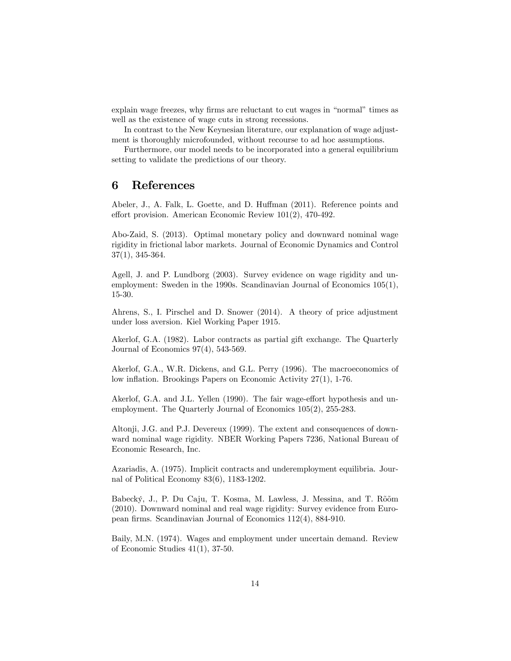explain wage freezes, why firms are reluctant to cut wages in "normal" times as well as the existence of wage cuts in strong recessions.

In contrast to the New Keynesian literature, our explanation of wage adjustment is thoroughly microfounded, without recourse to ad hoc assumptions.

Furthermore, our model needs to be incorporated into a general equilibrium setting to validate the predictions of our theory.

### 6 References

Abeler, J., A. Falk, L. Goette, and D. Huffman (2011). Reference points and effort provision. American Economic Review  $101(2)$ , 470-492.

Abo-Zaid, S. (2013). Optimal monetary policy and downward nominal wage rigidity in frictional labor markets. Journal of Economic Dynamics and Control 37(1), 345-364.

Agell, J. and P. Lundborg (2003). Survey evidence on wage rigidity and unemployment: Sweden in the 1990s. Scandinavian Journal of Economics 105(1), 15-30.

Ahrens, S., I. Pirschel and D. Snower (2014). A theory of price adjustment under loss aversion. Kiel Working Paper 1915.

Akerlof, G.A. (1982). Labor contracts as partial gift exchange. The Quarterly Journal of Economics 97(4), 543-569.

Akerlof, G.A., W.R. Dickens, and G.L. Perry (1996). The macroeconomics of low inflation. Brookings Papers on Economic Activity 27(1), 1-76.

Akerlof, G.A. and J.L. Yellen (1990). The fair wage-effort hypothesis and unemployment. The Quarterly Journal of Economics 105(2), 255-283.

Altonji, J.G. and P.J. Devereux (1999). The extent and consequences of downward nominal wage rigidity. NBER Working Papers 7236, National Bureau of Economic Research, Inc.

Azariadis, A. (1975). Implicit contracts and underemployment equilibria. Journal of Political Economy 83(6), 1183-1202.

Babecký, J., P. Du Caju, T. Kosma, M. Lawless, J. Messina, and T. Rõõm (2010). Downward nominal and real wage rigidity: Survey evidence from European firms. Scandinavian Journal of Economics 112(4), 884-910.

Baily, M.N. (1974). Wages and employment under uncertain demand. Review of Economic Studies 41(1), 37-50.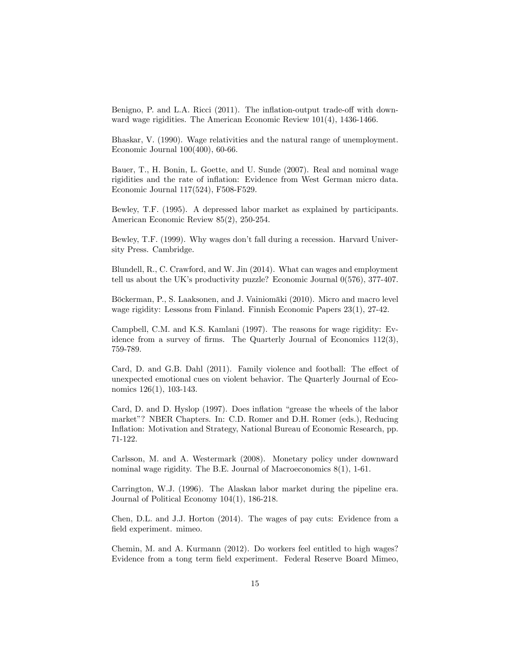Benigno, P. and L.A. Ricci (2011). The inflation-output trade-off with downward wage rigidities. The American Economic Review 101(4), 1436-1466.

Bhaskar, V. (1990). Wage relativities and the natural range of unemployment. Economic Journal 100(400), 60-66.

Bauer, T., H. Bonin, L. Goette, and U. Sunde (2007). Real and nominal wage rigidities and the rate of inflation: Evidence from West German micro data. Economic Journal 117(524), F508-F529.

Bewley, T.F. (1995). A depressed labor market as explained by participants. American Economic Review 85(2), 250-254.

Bewley, T.F. (1999). Why wages don't fall during a recession. Harvard University Press. Cambridge.

Blundell, R., C. Crawford, and W. Jin (2014). What can wages and employment tell us about the UK's productivity puzzle? Economic Journal  $0(576)$ , 377-407.

Böckerman, P., S. Laaksonen, and J. Vainiomäki (2010). Micro and macro level wage rigidity: Lessons from Finland. Finnish Economic Papers 23(1), 27-42.

Campbell, C.M. and K.S. Kamlani (1997). The reasons for wage rigidity: Evidence from a survey of firms. The Quarterly Journal of Economics  $112(3)$ , 759-789.

Card, D. and G.B. Dahl (2011). Family violence and football: The effect of unexpected emotional cues on violent behavior. The Quarterly Journal of Economics 126(1), 103-143.

Card, D. and D. Hyslop (1997). Does inflation "grease the wheels of the labor market"? NBER Chapters. In: C.D. Romer and D.H. Romer (eds.), Reducing Inflation: Motivation and Strategy, National Bureau of Economic Research, pp. 71-122.

Carlsson, M. and A. Westermark (2008). Monetary policy under downward nominal wage rigidity. The B.E. Journal of Macroeconomics 8(1), 1-61.

Carrington, W.J. (1996). The Alaskan labor market during the pipeline era. Journal of Political Economy 104(1), 186-218.

Chen, D.L. and J.J. Horton (2014). The wages of pay cuts: Evidence from a field experiment. mimeo.

Chemin, M. and A. Kurmann (2012). Do workers feel entitled to high wages? Evidence from a tong term Öeld experiment. Federal Reserve Board Mimeo,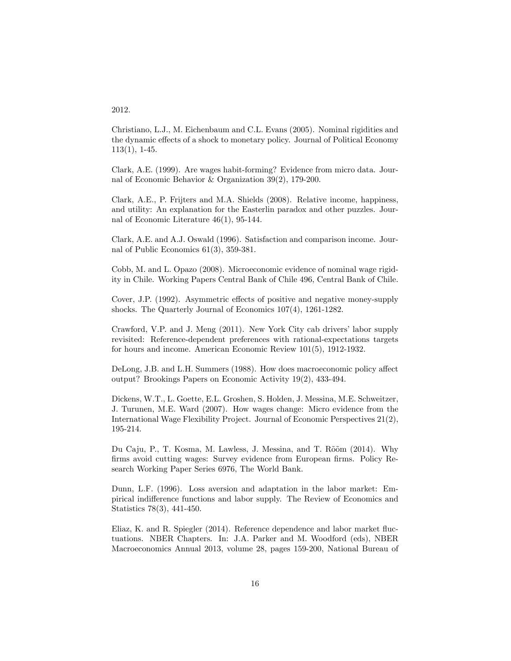#### 2012.

Christiano, L.J., M. Eichenbaum and C.L. Evans (2005). Nominal rigidities and the dynamic effects of a shock to monetary policy. Journal of Political Economy 113(1), 1-45.

Clark, A.E. (1999). Are wages habit-forming? Evidence from micro data. Journal of Economic Behavior & Organization 39(2), 179-200.

Clark, A.E., P. Frijters and M.A. Shields (2008). Relative income, happiness, and utility: An explanation for the Easterlin paradox and other puzzles. Journal of Economic Literature 46(1), 95-144.

Clark, A.E. and A.J. Oswald (1996). Satisfaction and comparison income. Journal of Public Economics 61(3), 359-381.

Cobb, M. and L. Opazo (2008). Microeconomic evidence of nominal wage rigidity in Chile. Working Papers Central Bank of Chile 496, Central Bank of Chile.

Cover, J.P. (1992). Asymmetric effects of positive and negative money-supply shocks. The Quarterly Journal of Economics 107(4), 1261-1282.

Crawford, V.P. and J. Meng (2011). New York City cab drivers' labor supply revisited: Reference-dependent preferences with rational-expectations targets for hours and income. American Economic Review 101(5), 1912-1932.

DeLong, J.B. and L.H. Summers (1988). How does macroeconomic policy affect output? Brookings Papers on Economic Activity 19(2), 433-494.

Dickens, W.T., L. Goette, E.L. Groshen, S. Holden, J. Messina, M.E. Schweitzer, J. Turunen, M.E. Ward (2007). How wages change: Micro evidence from the International Wage Flexibility Project. Journal of Economic Perspectives 21(2), 195-214.

Du Caju, P., T. Kosma, M. Lawless, J. Messina, and T. Rõõm (2014). Why firms avoid cutting wages: Survey evidence from European firms. Policy Research Working Paper Series 6976, The World Bank.

Dunn, L.F. (1996). Loss aversion and adaptation in the labor market: Empirical indifference functions and labor supply. The Review of Economics and Statistics 78(3), 441-450.

Eliaz, K. and R. Spiegler (2014). Reference dependence and labor market fluctuations. NBER Chapters. In: J.A. Parker and M. Woodford (eds), NBER Macroeconomics Annual 2013, volume 28, pages 159-200, National Bureau of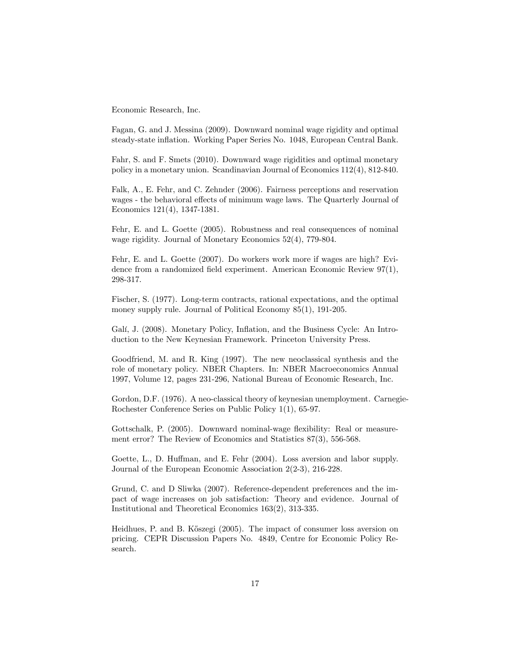Economic Research, Inc.

Fagan, G. and J. Messina (2009). Downward nominal wage rigidity and optimal steady-state ináation. Working Paper Series No. 1048, European Central Bank.

Fahr, S. and F. Smets (2010). Downward wage rigidities and optimal monetary policy in a monetary union. Scandinavian Journal of Economics 112(4), 812-840.

Falk, A., E. Fehr, and C. Zehnder (2006). Fairness perceptions and reservation wages - the behavioral effects of minimum wage laws. The Quarterly Journal of Economics 121(4), 1347-1381.

Fehr, E. and L. Goette (2005). Robustness and real consequences of nominal wage rigidity. Journal of Monetary Economics 52(4), 779-804.

Fehr, E. and L. Goette (2007). Do workers work more if wages are high? Evidence from a randomized field experiment. American Economic Review  $97(1)$ , 298-317.

Fischer, S. (1977). Long-term contracts, rational expectations, and the optimal money supply rule. Journal of Political Economy 85(1), 191-205.

Galí, J. (2008). Monetary Policy, Inflation, and the Business Cycle: An Introduction to the New Keynesian Framework. Princeton University Press.

Goodfriend, M. and R. King (1997). The new neoclassical synthesis and the role of monetary policy. NBER Chapters. In: NBER Macroeconomics Annual 1997, Volume 12, pages 231-296, National Bureau of Economic Research, Inc.

Gordon, D.F. (1976). A neo-classical theory of keynesian unemployment. Carnegie-Rochester Conference Series on Public Policy 1(1), 65-97.

Gottschalk, P. (2005). Downward nominal-wage áexibility: Real or measurement error? The Review of Economics and Statistics 87(3), 556-568.

Goette, L., D. Huffman, and E. Fehr (2004). Loss aversion and labor supply. Journal of the European Economic Association 2(2-3), 216-228.

Grund, C. and D Sliwka (2007). Reference-dependent preferences and the impact of wage increases on job satisfaction: Theory and evidence. Journal of Institutional and Theoretical Economics 163(2), 313-335.

Heidhues, P. and B. Köszegi (2005). The impact of consumer loss aversion on pricing. CEPR Discussion Papers No. 4849, Centre for Economic Policy Research.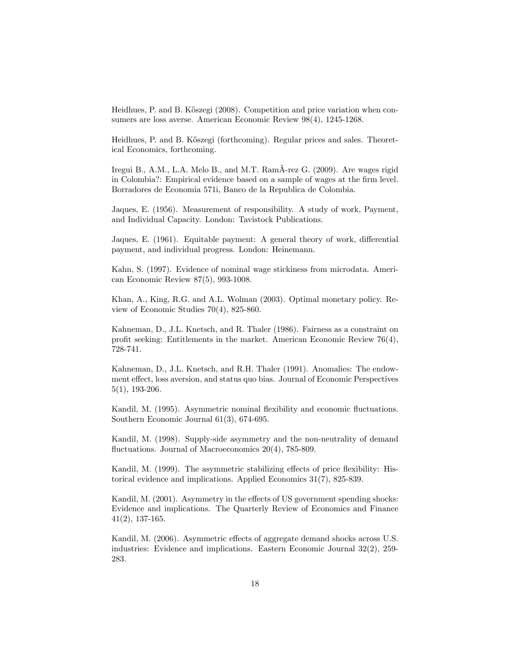Heidhues, P. and B. Kőszegi (2008). Competition and price variation when consumers are loss averse. American Economic Review 98(4), 1245-1268.

Heidhues, P. and B. Kőszegi (forthcoming). Regular prices and sales. Theoretical Economics, forthcoming.

Iregui B., A.M., L.A. Melo B., and M.T. RamÃ-rez G. (2009). Are wages rigid in Colombia?: Empirical evidence based on a sample of wages at the firm level. Borradores de Economia 571i, Banco de la Republica de Colombia.

Jaques, E. (1956). Measurement of responsibility. A study of work, Payment, and Individual Capacity. London: Tavistock Publications.

Jaques, E.  $(1961)$ . Equitable payment: A general theory of work, differential payment, and individual progress. London: Heinemann.

Kahn, S. (1997). Evidence of nominal wage stickiness from microdata. American Economic Review 87(5), 993-1008.

Khan, A., King, R.G. and A.L. Wolman (2003). Optimal monetary policy. Review of Economic Studies 70(4), 825-860.

Kahneman, D., J.L. Knetsch, and R. Thaler (1986). Fairness as a constraint on profit seeking: Entitlements in the market. American Economic Review  $76(4)$ , 728-741.

Kahneman, D., J.L. Knetsch, and R.H. Thaler (1991). Anomalies: The endowment effect, loss aversion, and status quo bias. Journal of Economic Perspectives 5(1), 193-206.

Kandil, M. (1995). Asymmetric nominal flexibility and economic fluctuations. Southern Economic Journal 61(3), 674-695.

Kandil, M. (1998). Supply-side asymmetry and the non-neutrality of demand fluctuations. Journal of Macroeconomics  $20(4)$ , 785-809.

Kandil, M. (1999). The asymmetric stabilizing effects of price flexibility: Historical evidence and implications. Applied Economics 31(7), 825-839.

Kandil, M. (2001). Asymmetry in the effects of US government spending shocks: Evidence and implications. The Quarterly Review of Economics and Finance 41(2), 137-165.

Kandil, M. (2006). Asymmetric effects of aggregate demand shocks across U.S. industries: Evidence and implications. Eastern Economic Journal 32(2), 259- 283.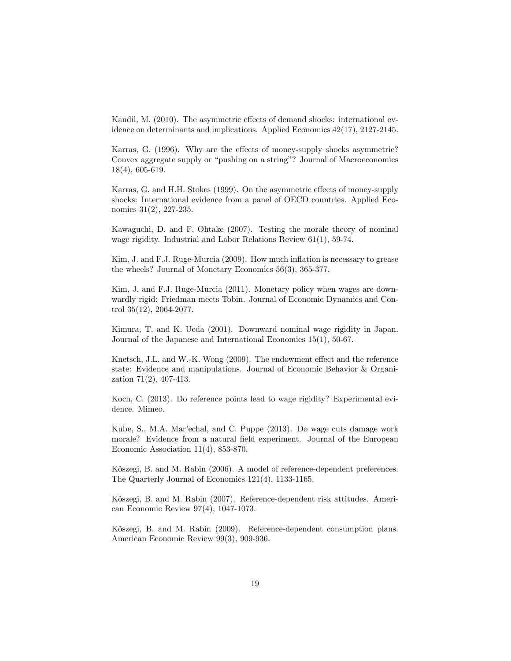Kandil, M. (2010). The asymmetric effects of demand shocks: international evidence on determinants and implications. Applied Economics 42(17), 2127-2145.

Karras, G. (1996). Why are the effects of money-supply shocks asymmetric? Convex aggregate supply or "pushing on a string"? Journal of Macroeconomics 18(4), 605-619.

Karras, G. and H.H. Stokes (1999). On the asymmetric effects of money-supply shocks: International evidence from a panel of OECD countries. Applied Economics 31(2), 227-235.

Kawaguchi, D. and F. Ohtake (2007). Testing the morale theory of nominal wage rigidity. Industrial and Labor Relations Review 61(1), 59-74.

Kim, J. and F.J. Ruge-Murcia (2009). How much inflation is necessary to grease the wheels? Journal of Monetary Economics 56(3), 365-377.

Kim, J. and F.J. Ruge-Murcia (2011). Monetary policy when wages are downwardly rigid: Friedman meets Tobin. Journal of Economic Dynamics and Control 35(12), 2064-2077.

Kimura, T. and K. Ueda (2001). Downward nominal wage rigidity in Japan. Journal of the Japanese and International Economies 15(1), 50-67.

Knetsch, J.L. and W.-K. Wong  $(2009)$ . The endowment effect and the reference state: Evidence and manipulations. Journal of Economic Behavior & Organization 71(2), 407-413.

Koch, C. (2013). Do reference points lead to wage rigidity? Experimental evidence. Mimeo.

Kube, S., M.A. Maríechal, and C. Puppe (2013). Do wage cuts damage work morale? Evidence from a natural field experiment. Journal of the European Economic Association 11(4), 853-870.

Kőszegi, B. and M. Rabin (2006). A model of reference-dependent preferences. The Quarterly Journal of Economics 121(4), 1133-1165.

Kőszegi, B. and M. Rabin (2007). Reference-dependent risk attitudes. American Economic Review 97(4), 1047-1073.

K½oszegi, B. and M. Rabin (2009). Reference-dependent consumption plans. American Economic Review 99(3), 909-936.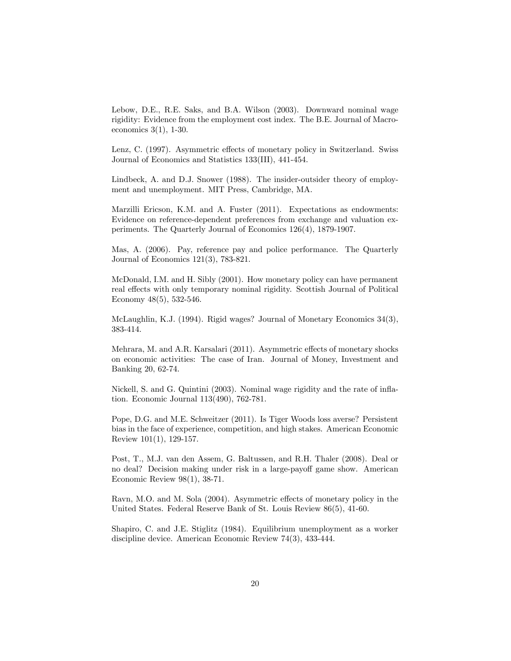Lebow, D.E., R.E. Saks, and B.A. Wilson (2003). Downward nominal wage rigidity: Evidence from the employment cost index. The B.E. Journal of Macroeconomics 3(1), 1-30.

Lenz, C. (1997). Asymmetric effects of monetary policy in Switzerland. Swiss Journal of Economics and Statistics 133(III), 441-454.

Lindbeck, A. and D.J. Snower (1988). The insider-outsider theory of employment and unemployment. MIT Press, Cambridge, MA.

Marzilli Ericson, K.M. and A. Fuster (2011). Expectations as endowments: Evidence on reference-dependent preferences from exchange and valuation experiments. The Quarterly Journal of Economics 126(4), 1879-1907.

Mas, A. (2006). Pay, reference pay and police performance. The Quarterly Journal of Economics 121(3), 783-821.

McDonald, I.M. and H. Sibly (2001). How monetary policy can have permanent real effects with only temporary nominal rigidity. Scottish Journal of Political Economy 48(5), 532-546.

McLaughlin, K.J. (1994). Rigid wages? Journal of Monetary Economics 34(3), 383-414.

Mehrara, M. and A.R. Karsalari (2011). Asymmetric effects of monetary shocks on economic activities: The case of Iran. Journal of Money, Investment and Banking 20, 62-74.

Nickell, S. and G. Quintini (2003). Nominal wage rigidity and the rate of inflation. Economic Journal 113(490), 762-781.

Pope, D.G. and M.E. Schweitzer (2011). Is Tiger Woods loss averse? Persistent bias in the face of experience, competition, and high stakes. American Economic Review 101(1), 129-157.

Post, T., M.J. van den Assem, G. Baltussen, and R.H. Thaler (2008). Deal or no deal? Decision making under risk in a large-payoff game show. American Economic Review 98(1), 38-71.

Ravn, M.O. and M. Sola (2004). Asymmetric effects of monetary policy in the United States. Federal Reserve Bank of St. Louis Review 86(5), 41-60.

Shapiro, C. and J.E. Stiglitz (1984). Equilibrium unemployment as a worker discipline device. American Economic Review 74(3), 433-444.